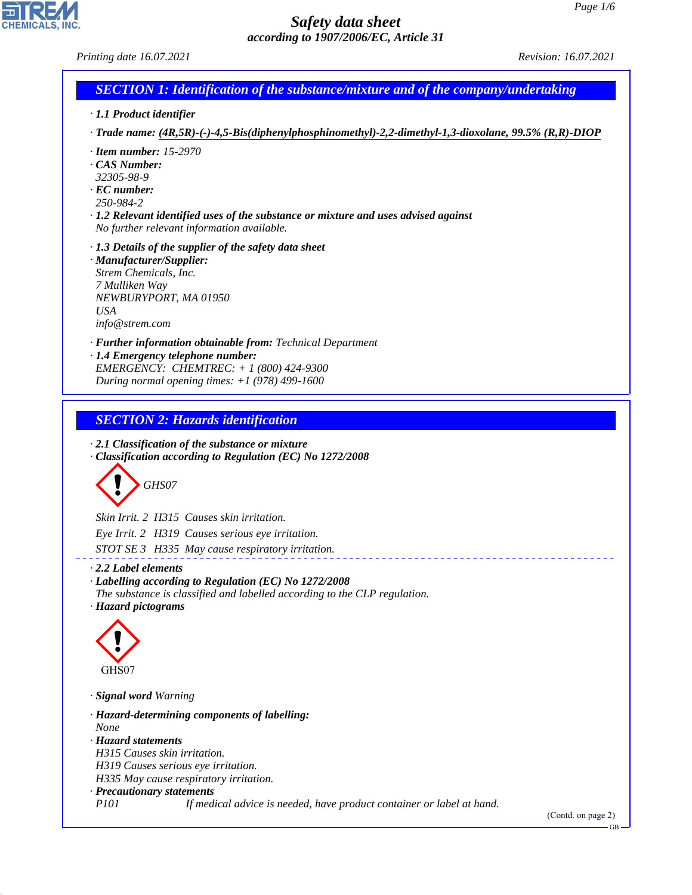*Printing date 16.07.2021 Revision: 16.07.2021*

## *SECTION 1: Identification of the substance/mixture and of the company/undertaking*

- *· 1.1 Product identifier*
- *· Trade name: (4R,5R)-(-)-4,5-Bis(diphenylphosphinomethyl)-2,2-dimethyl-1,3-dioxolane, 99.5% (R,R)-DIOP*
- *· Item number: 15-2970*
- *· CAS Number:*
- *32305-98-9*
- *· EC number: 250-984-2*
- *· 1.2 Relevant identified uses of the substance or mixture and uses advised against No further relevant information available.*
- *· 1.3 Details of the supplier of the safety data sheet*
- *· Manufacturer/Supplier: Strem Chemicals, Inc. 7 Mulliken Way NEWBURYPORT, MA 01950 USA info@strem.com*
- *· Further information obtainable from: Technical Department · 1.4 Emergency telephone number: EMERGENCY: CHEMTREC: + 1 (800) 424-9300*
- *During normal opening times: +1 (978) 499-1600*

#### *SECTION 2: Hazards identification*

*· 2.1 Classification of the substance or mixture · Classification according to Regulation (EC) No 1272/2008*



*Skin Irrit. 2 H315 Causes skin irritation. Eye Irrit. 2 H319 Causes serious eye irritation. STOT SE 3 H335 May cause respiratory irritation.*

#### *· 2.2 Label elements*

*· Labelling according to Regulation (EC) No 1272/2008 The substance is classified and labelled according to the CLP regulation. · Hazard pictograms*



44.1.1

*· Signal word Warning*

*· Hazard-determining components of labelling: None · Hazard statements H315 Causes skin irritation. H319 Causes serious eye irritation. H335 May cause respiratory irritation. · Precautionary statements P101 If medical advice is needed, have product container or label at hand.*

(Contd. on page 2)

GB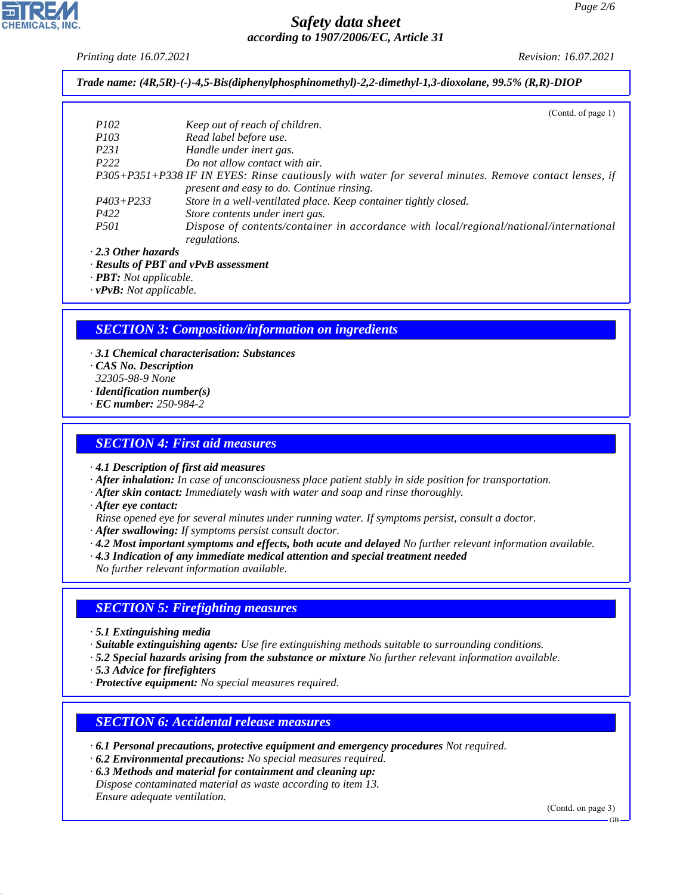*Printing date 16.07.2021 Revision: 16.07.2021*

*Trade name: (4R,5R)-(-)-4,5-Bis(diphenylphosphinomethyl)-2,2-dimethyl-1,3-dioxolane, 99.5% (R,R)-DIOP*

|                           | (Contd. of page 1)                                                                                    |
|---------------------------|-------------------------------------------------------------------------------------------------------|
| <i>P102</i>               | Keep out of reach of children.                                                                        |
| <i>P103</i>               | Read label before use.                                                                                |
| P <sub>231</sub>          | Handle under inert gas.                                                                               |
| P <sub>222</sub>          | Do not allow contact with air.                                                                        |
|                           | P305+P351+P338 IF IN EYES: Rinse cautiously with water for several minutes. Remove contact lenses, if |
|                           | present and easy to do. Continue rinsing.                                                             |
| $P403 + P233$             | Store in a well-ventilated place. Keep container tightly closed.                                      |
| P422                      | Store contents under inert gas.                                                                       |
| <i>P501</i>               | Dispose of contents/container in accordance with local/regional/national/international                |
|                           | regulations.                                                                                          |
| $\cdot$ 2.3 Other hazards |                                                                                                       |

*· Results of PBT and vPvB assessment*

*· PBT: Not applicable.*

*· vPvB: Not applicable.*

## *SECTION 3: Composition/information on ingredients*

- *· 3.1 Chemical characterisation: Substances · CAS No. Description 32305-98-9 None · Identification number(s)*
- *· EC number: 250-984-2*

### *SECTION 4: First aid measures*

*· 4.1 Description of first aid measures*

- *· After inhalation: In case of unconsciousness place patient stably in side position for transportation.*
- *· After skin contact: Immediately wash with water and soap and rinse thoroughly.*
- *· After eye contact:*
- *Rinse opened eye for several minutes under running water. If symptoms persist, consult a doctor.*
- *· After swallowing: If symptoms persist consult doctor.*
- *· 4.2 Most important symptoms and effects, both acute and delayed No further relevant information available.*
- *· 4.3 Indication of any immediate medical attention and special treatment needed*
- *No further relevant information available.*

## *SECTION 5: Firefighting measures*

- *· 5.1 Extinguishing media*
- *· Suitable extinguishing agents: Use fire extinguishing methods suitable to surrounding conditions.*
- *· 5.2 Special hazards arising from the substance or mixture No further relevant information available.*
- *· 5.3 Advice for firefighters*

44.1.1

*· Protective equipment: No special measures required.*

#### *SECTION 6: Accidental release measures*

- *· 6.1 Personal precautions, protective equipment and emergency procedures Not required.*
- *· 6.2 Environmental precautions: No special measures required.*

*· 6.3 Methods and material for containment and cleaning up:*

*Dispose contaminated material as waste according to item 13. Ensure adequate ventilation.*

(Contd. on page 3)

GB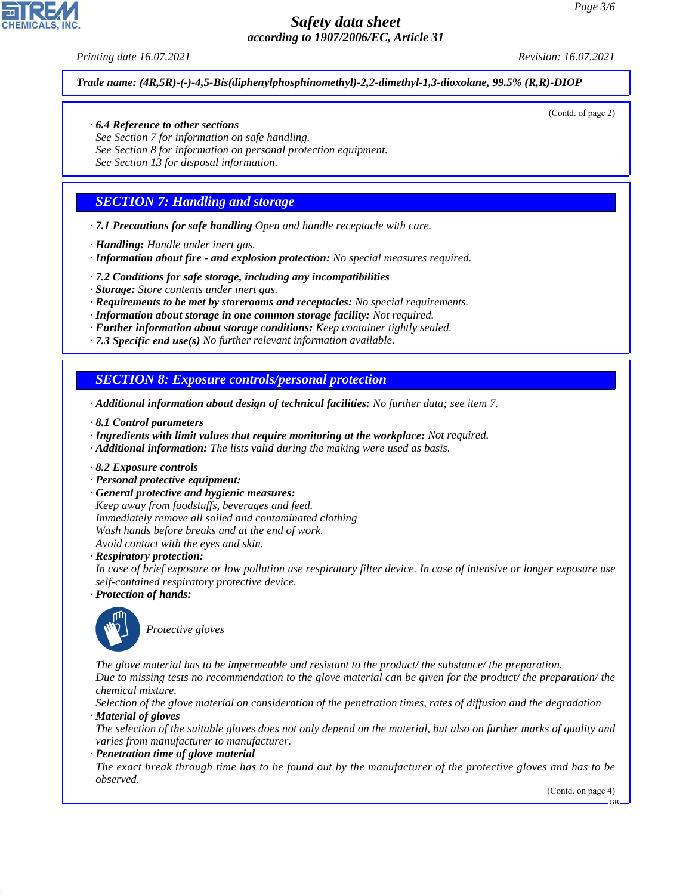*Printing date 16.07.2021 Revision: 16.07.2021*

(Contd. of page 2)

*Trade name: (4R,5R)-(-)-4,5-Bis(diphenylphosphinomethyl)-2,2-dimethyl-1,3-dioxolane, 99.5% (R,R)-DIOP*

#### *· 6.4 Reference to other sections*

*See Section 7 for information on safe handling. See Section 8 for information on personal protection equipment. See Section 13 for disposal information.*

## *SECTION 7: Handling and storage*

- *· 7.1 Precautions for safe handling Open and handle receptacle with care.*
- *· Handling: Handle under inert gas.*
- *· Information about fire and explosion protection: No special measures required.*
- *· 7.2 Conditions for safe storage, including any incompatibilities*
- *· Storage: Store contents under inert gas.*
- *· Requirements to be met by storerooms and receptacles: No special requirements.*
- *· Information about storage in one common storage facility: Not required.*
- *· Further information about storage conditions: Keep container tightly sealed.*
- *· 7.3 Specific end use(s) No further relevant information available.*

## *SECTION 8: Exposure controls/personal protection*

- *· Additional information about design of technical facilities: No further data; see item 7.*
- *· 8.1 Control parameters*
- *· Ingredients with limit values that require monitoring at the workplace: Not required.*
- *· Additional information: The lists valid during the making were used as basis.*
- *· 8.2 Exposure controls*
- *· Personal protective equipment:*
- *· General protective and hygienic measures: Keep away from foodstuffs, beverages and feed. Immediately remove all soiled and contaminated clothing Wash hands before breaks and at the end of work. Avoid contact with the eyes and skin.*

*· Respiratory protection:*

*In case of brief exposure or low pollution use respiratory filter device. In case of intensive or longer exposure use self-contained respiratory protective device.*

*· Protection of hands:*



44.1.1

\_S*Protective gloves*

*The glove material has to be impermeable and resistant to the product/ the substance/ the preparation. Due to missing tests no recommendation to the glove material can be given for the product/ the preparation/ the chemical mixture.*

*Selection of the glove material on consideration of the penetration times, rates of diffusion and the degradation · Material of gloves*

*The selection of the suitable gloves does not only depend on the material, but also on further marks of quality and varies from manufacturer to manufacturer.*

*· Penetration time of glove material*

*The exact break through time has to be found out by the manufacturer of the protective gloves and has to be observed.*

(Contd. on page 4)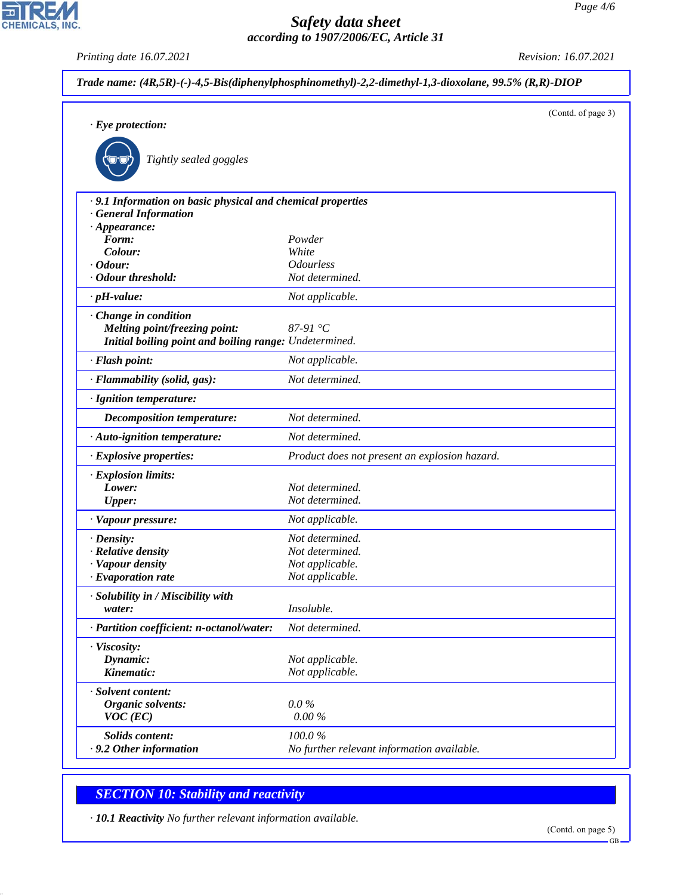*Printing date 16.07.2021 Revision: 16.07.2021*

CHEMICALS, INC.

| $\cdot$ Eye protection:                                                                   |                                               | (Contd. of page 3) |
|-------------------------------------------------------------------------------------------|-----------------------------------------------|--------------------|
|                                                                                           |                                               |                    |
| Tightly sealed goggles                                                                    |                                               |                    |
| · 9.1 Information on basic physical and chemical properties<br><b>General Information</b> |                                               |                    |
| $\cdot$ Appearance:                                                                       |                                               |                    |
| Form:                                                                                     | Powder                                        |                    |
| Colour:                                                                                   | White                                         |                    |
| $\cdot$ Odour:                                                                            | <b>Odourless</b>                              |                    |
| · Odour threshold:                                                                        | Not determined.                               |                    |
| $\cdot$ pH-value:                                                                         | Not applicable.                               |                    |
| Change in condition                                                                       |                                               |                    |
| Melting point/freezing point:                                                             | 87-91 $\degree$ C                             |                    |
| Initial boiling point and boiling range: Undetermined.                                    |                                               |                    |
| · Flash point:                                                                            | Not applicable.                               |                    |
| · Flammability (solid, gas):                                                              | Not determined.                               |                    |
| · Ignition temperature:                                                                   |                                               |                    |
| <b>Decomposition temperature:</b>                                                         | Not determined.                               |                    |
| · Auto-ignition temperature:                                                              | Not determined.                               |                    |
| · Explosive properties:                                                                   | Product does not present an explosion hazard. |                    |
| · Explosion limits:                                                                       |                                               |                    |
| Lower:                                                                                    | Not determined.                               |                    |
| <b>Upper:</b>                                                                             | Not determined.                               |                    |
| · Vapour pressure:                                                                        | Not applicable.                               |                    |
| $\cdot$ Density:                                                                          | Not determined.                               |                    |
| · Relative density                                                                        | Not determined.                               |                    |
| · Vapour density                                                                          | Not applicable.                               |                    |
| $\cdot$ Evaporation rate                                                                  | Not applicable.                               |                    |
| · Solubility in / Miscibility with                                                        |                                               |                    |
| water:                                                                                    | Insoluble.                                    |                    |
| · Partition coefficient: n-octanol/water:                                                 | Not determined.                               |                    |
| · Viscosity:                                                                              |                                               |                    |
| Dynamic:                                                                                  | Not applicable.                               |                    |
| Kinematic:                                                                                | Not applicable.                               |                    |
| · Solvent content:                                                                        |                                               |                    |
| Organic solvents:                                                                         | $0.0\%$                                       |                    |
| $VOC$ (EC)                                                                                | $0.00\,\%$                                    |                    |
| Solids content:                                                                           | 100.0%                                        |                    |
| .9.2 Other information                                                                    | No further relevant information available.    |                    |

# *SECTION 10: Stability and reactivity*

44.1.1

*· 10.1 Reactivity No further relevant information available.*

GB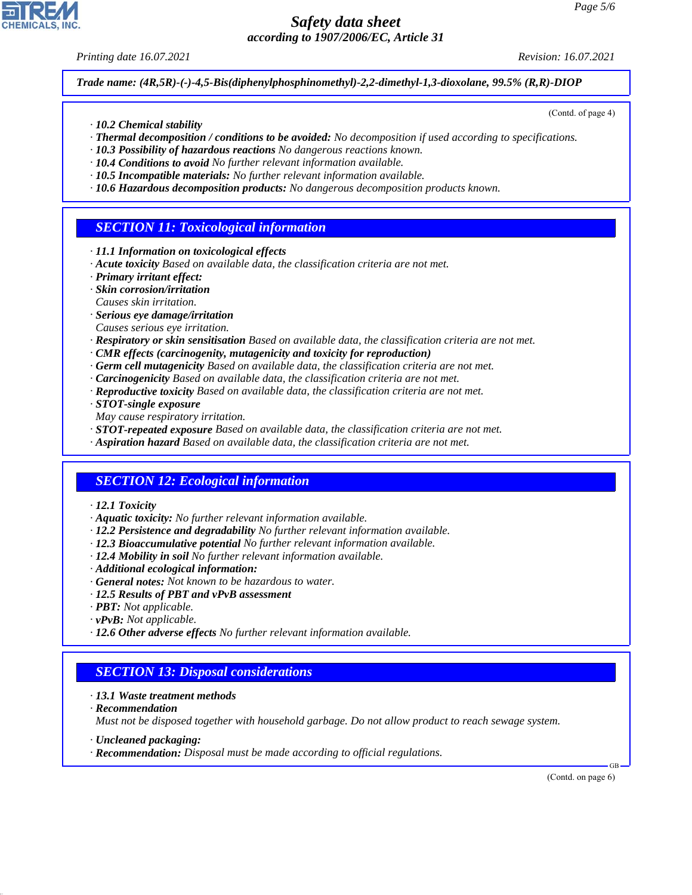*Printing date 16.07.2021 Revision: 16.07.2021*

(Contd. of page 4)

*Trade name: (4R,5R)-(-)-4,5-Bis(diphenylphosphinomethyl)-2,2-dimethyl-1,3-dioxolane, 99.5% (R,R)-DIOP*

- *· 10.2 Chemical stability*
- *· Thermal decomposition / conditions to be avoided: No decomposition if used according to specifications.*
- *· 10.3 Possibility of hazardous reactions No dangerous reactions known.*
- *· 10.4 Conditions to avoid No further relevant information available.*
- *· 10.5 Incompatible materials: No further relevant information available.*
- *· 10.6 Hazardous decomposition products: No dangerous decomposition products known.*

## *SECTION 11: Toxicological information*

- *· 11.1 Information on toxicological effects*
- *· Acute toxicity Based on available data, the classification criteria are not met.*
- *· Primary irritant effect:*
- *· Skin corrosion/irritation*
- *Causes skin irritation.*
- *· Serious eye damage/irritation*
- *Causes serious eye irritation.*
- *· Respiratory or skin sensitisation Based on available data, the classification criteria are not met.*
- *· CMR effects (carcinogenity, mutagenicity and toxicity for reproduction)*
- *· Germ cell mutagenicity Based on available data, the classification criteria are not met.*
- *· Carcinogenicity Based on available data, the classification criteria are not met.*
- *· Reproductive toxicity Based on available data, the classification criteria are not met.*
- *· STOT-single exposure*
- *May cause respiratory irritation.*
- *· STOT-repeated exposure Based on available data, the classification criteria are not met.*
- *· Aspiration hazard Based on available data, the classification criteria are not met.*

## *SECTION 12: Ecological information*

- *· 12.1 Toxicity*
- *· Aquatic toxicity: No further relevant information available.*
- *· 12.2 Persistence and degradability No further relevant information available.*
- *· 12.3 Bioaccumulative potential No further relevant information available.*
- *· 12.4 Mobility in soil No further relevant information available.*
- *· Additional ecological information:*
- *· General notes: Not known to be hazardous to water.*
- *· 12.5 Results of PBT and vPvB assessment*
- *· PBT: Not applicable.*
- *· vPvB: Not applicable.*
- *· 12.6 Other adverse effects No further relevant information available.*

### *SECTION 13: Disposal considerations*

- *· 13.1 Waste treatment methods*
- *· Recommendation*

44.1.1

*Must not be disposed together with household garbage. Do not allow product to reach sewage system.*

- *· Uncleaned packaging:*
- *· Recommendation: Disposal must be made according to official regulations.*

(Contd. on page 6)

GB